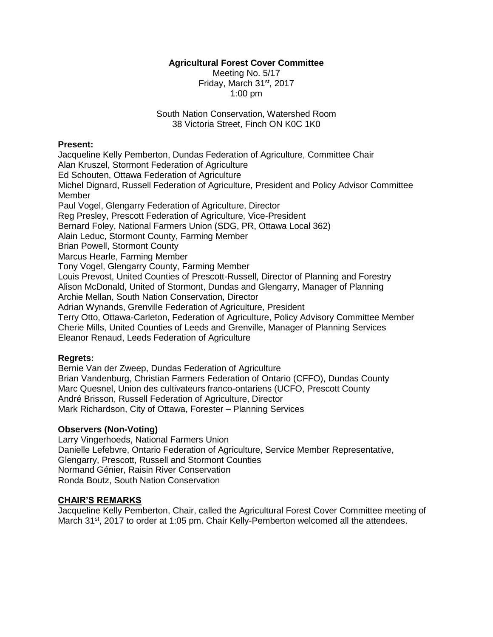# **Agricultural Forest Cover Committee**

Meeting No. 5/17 Friday, March 31st, 2017 1:00 pm

South Nation Conservation, Watershed Room 38 Victoria Street, Finch ON K0C 1K0

#### **Present:**

Jacqueline Kelly Pemberton, Dundas Federation of Agriculture, Committee Chair Alan Kruszel, Stormont Federation of Agriculture Ed Schouten, Ottawa Federation of Agriculture Michel Dignard, Russell Federation of Agriculture, President and Policy Advisor Committee Member Paul Vogel, Glengarry Federation of Agriculture, Director Reg Presley, Prescott Federation of Agriculture, Vice-President Bernard Foley, National Farmers Union (SDG, PR, Ottawa Local 362) Alain Leduc, Stormont County, Farming Member Brian Powell, Stormont County Marcus Hearle, Farming Member Tony Vogel, Glengarry County, Farming Member Louis Prevost, United Counties of Prescott-Russell, Director of Planning and Forestry Alison McDonald, United of Stormont, Dundas and Glengarry, Manager of Planning Archie Mellan, South Nation Conservation, Director Adrian Wynands, Grenville Federation of Agriculture, President Terry Otto, Ottawa-Carleton, Federation of Agriculture, Policy Advisory Committee Member Cherie Mills, United Counties of Leeds and Grenville, Manager of Planning Services

Eleanor Renaud, Leeds Federation of Agriculture

# **Regrets:**

Bernie Van der Zweep, Dundas Federation of Agriculture Brian Vandenburg, Christian Farmers Federation of Ontario (CFFO), Dundas County Marc Quesnel, Union des cultivateurs franco-ontariens (UCFO, Prescott County André Brisson, Russell Federation of Agriculture, Director Mark Richardson, City of Ottawa, Forester – Planning Services

### **Observers (Non-Voting)**

Larry Vingerhoeds, National Farmers Union Danielle Lefebvre, Ontario Federation of Agriculture, Service Member Representative, Glengarry, Prescott, Russell and Stormont Counties Normand Génier, Raisin River Conservation Ronda Boutz, South Nation Conservation

### **CHAIR'S REMARKS**

Jacqueline Kelly Pemberton, Chair, called the Agricultural Forest Cover Committee meeting of March 31<sup>st</sup>, 2017 to order at 1:05 pm. Chair Kelly-Pemberton welcomed all the attendees.